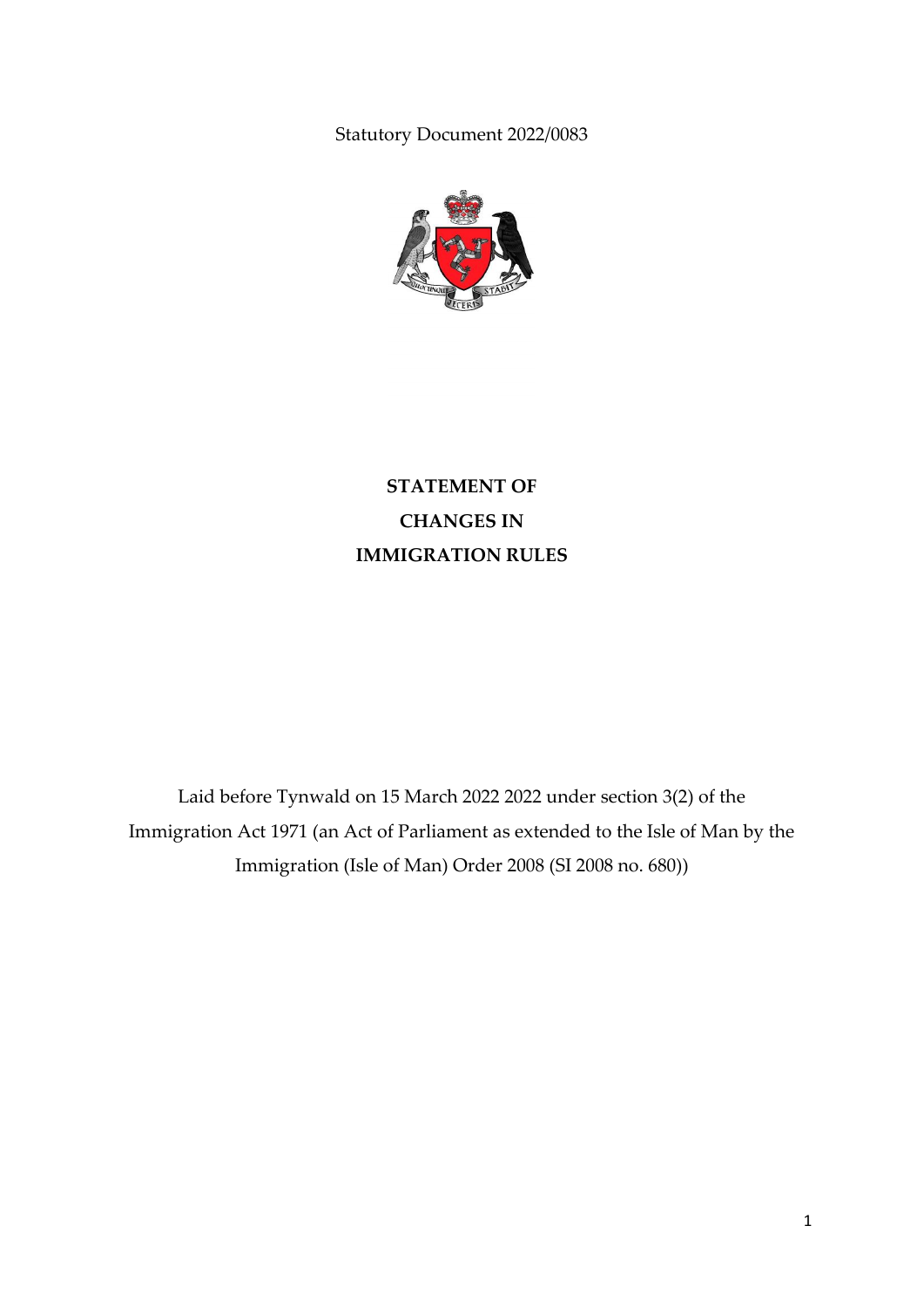Statutory Document 2022/0083



**STATEMENT OF CHANGES IN IMMIGRATION RULES**

Laid before Tynwald on 15 March 2022 2022 under section 3(2) of the Immigration Act 1971 (an Act of Parliament as extended to the Isle of Man by the Immigration (Isle of Man) Order 2008 (SI 2008 no. 680))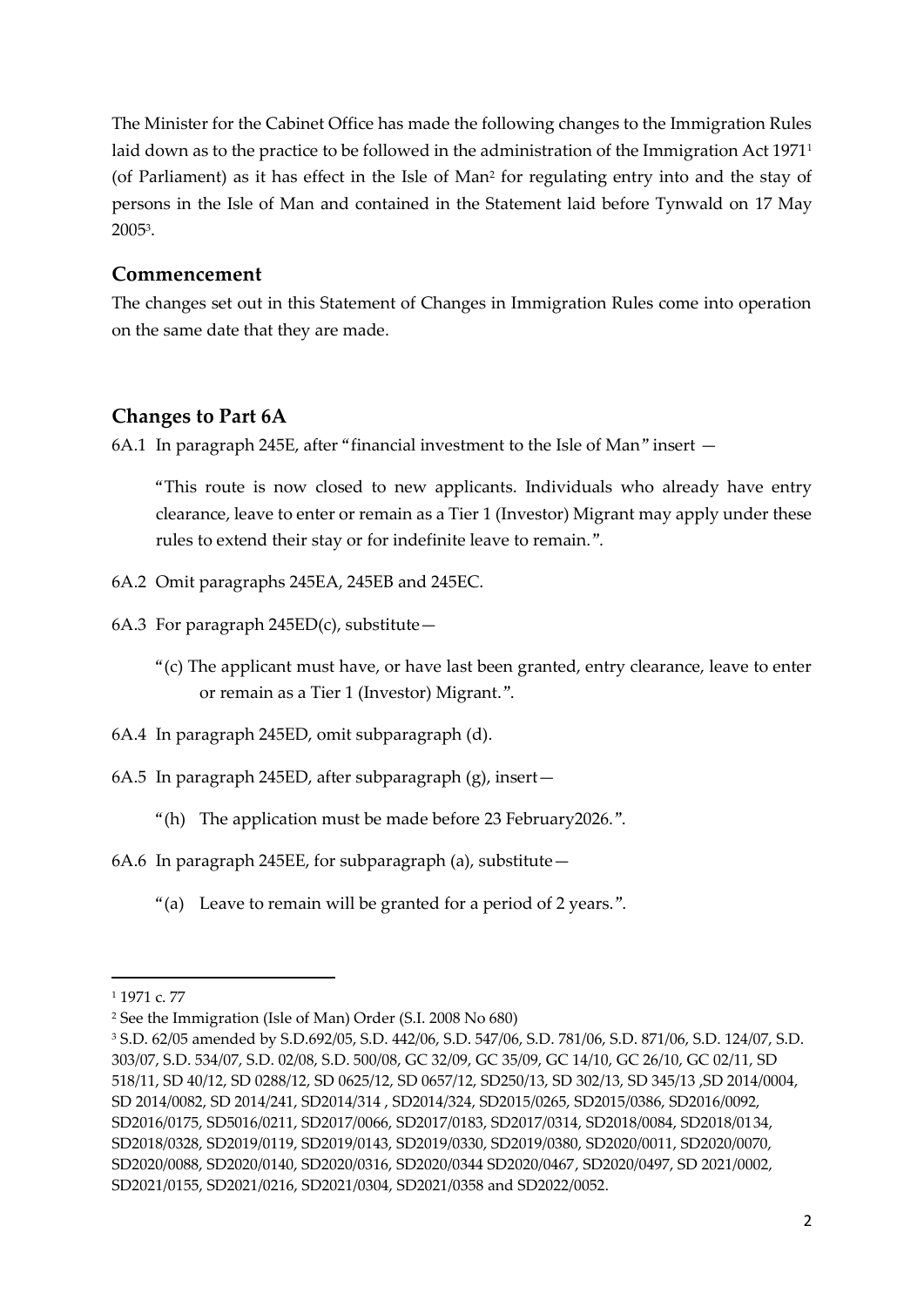The Minister for the Cabinet Office has made the following changes to the Immigration Rules laid down as to the practice to be followed in the administration of the Immigration Act 1971<sup>1</sup> (of Parliament) as it has effect in the Isle of Man<sup>2</sup> for regulating entry into and the stay of persons in the Isle of Man and contained in the Statement laid before Tynwald on 17 May 2005<sup>3</sup> .

## **Commencement**

The changes set out in this Statement of Changes in Immigration Rules come into operation on the same date that they are made.

### **Changes to Part 6A**

6A.1 In paragraph 245E, after "financial investment to the Isle of Man" insert —

"This route is now closed to new applicants. Individuals who already have entry clearance, leave to enter or remain as a Tier 1 (Investor) Migrant may apply under these rules to extend their stay or for indefinite leave to remain.".

- 6A.2 Omit paragraphs 245EA, 245EB and 245EC.
- 6A.3 For paragraph  $245ED(c)$ , substitute -
	- "(c) The applicant must have, or have last been granted, entry clearance, leave to enter or remain as a Tier 1 (Investor) Migrant.".
- 6A.4 In paragraph 245ED, omit subparagraph (d).
- 6A.5 In paragraph 245ED, after subparagraph (g), insert—
	- "(h) The application must be made before 23 February2026.".
- 6A.6 In paragraph 245EE, for subparagraph (a), substitute—
	- "(a) Leave to remain will be granted for a period of 2 years.".

**.** 

<sup>1</sup> 1971 c. 77

<sup>2</sup> See the Immigration (Isle of Man) Order (S.I. 2008 No 680)

<sup>3</sup> S.D. 62/05 amended by S.D.692/05, S.D. 442/06, S.D. 547/06, S.D. 781/06, S.D. 871/06, S.D. 124/07, S.D. 303/07, S.D. 534/07, S.D. 02/08, S.D. 500/08, GC 32/09, GC 35/09, GC 14/10, GC 26/10, GC 02/11, SD 518/11, SD 40/12, SD 0288/12, SD 0625/12, SD 0657/12, SD250/13, SD 302/13, SD 345/13 ,SD 2014/0004, SD 2014/0082, SD 2014/241, SD2014/314 , SD2014/324, SD2015/0265, SD2015/0386, SD2016/0092, SD2016/0175, SD5016/0211, SD2017/0066, SD2017/0183, SD2017/0314, SD2018/0084, SD2018/0134, SD2018/0328, SD2019/0119, SD2019/0143, SD2019/0330, SD2019/0380, SD2020/0011, SD2020/0070, SD2020/0088, SD2020/0140, SD2020/0316, SD2020/0344 SD2020/0467, SD2020/0497, SD 2021/0002, SD2021/0155, SD2021/0216, SD2021/0304, SD2021/0358 and SD2022/0052.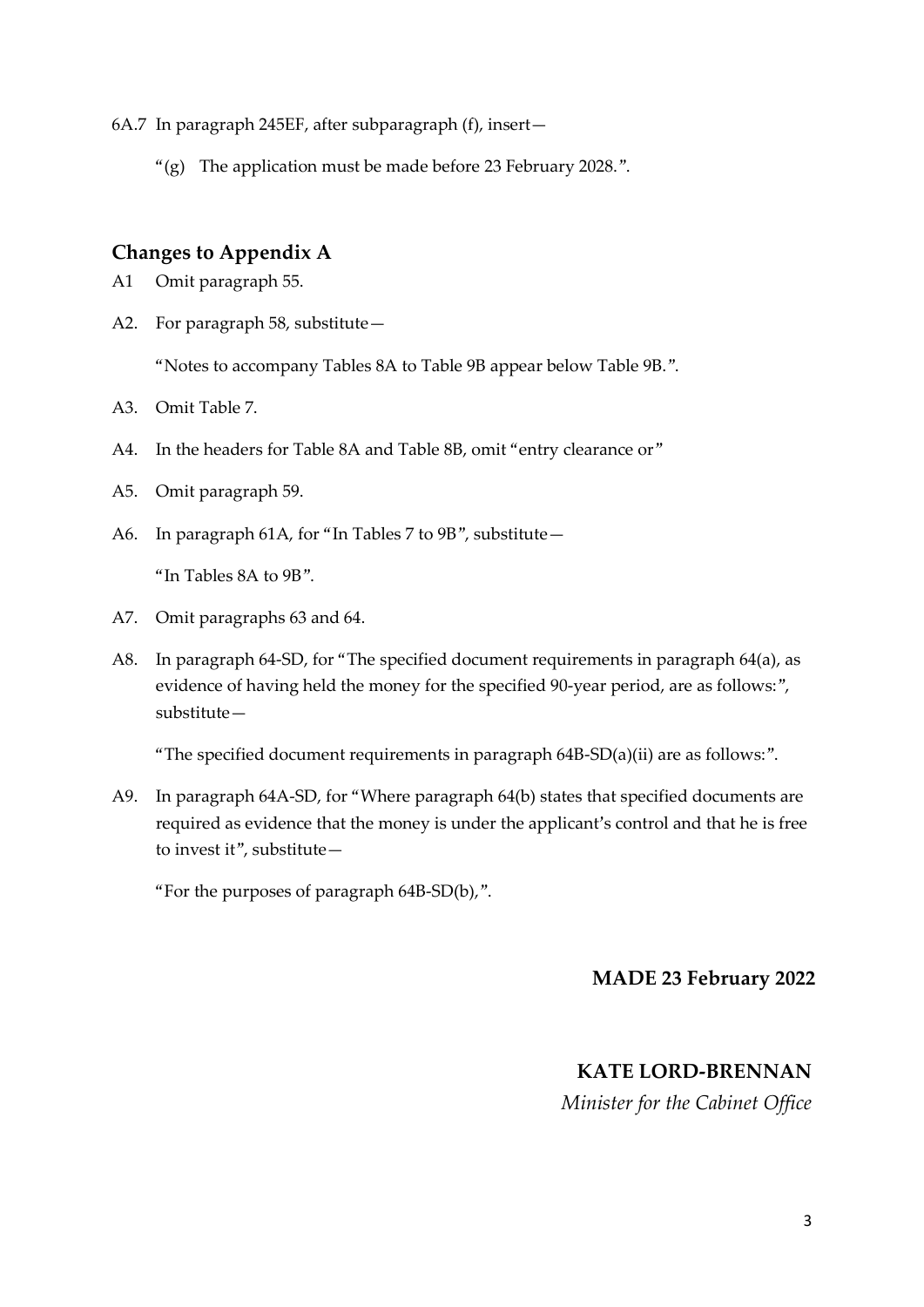6A.7 In paragraph 245EF, after subparagraph (f), insert—

" $(g)$  The application must be made before 23 February 2028.".

# **Changes to Appendix A**

- A1 Omit paragraph 55.
- A2. For paragraph 58, substitute—

"Notes to accompany Tables 8A to Table 9B appear below Table 9B.".

- A3. Omit Table 7.
- A4. In the headers for Table 8A and Table 8B, omit "entry clearance or"
- A5. Omit paragraph 59.
- A6. In paragraph 61A, for "In Tables 7 to 9B", substitute—

"In Tables 8A to 9B".

- A7. Omit paragraphs 63 and 64.
- A8. In paragraph 64-SD, for "The specified document requirements in paragraph 64(a), as evidence of having held the money for the specified 90-year period, are as follows:", substitute—

"The specified document requirements in paragraph 64B-SD(a)(ii) are as follows:".

A9. In paragraph 64A-SD, for "Where paragraph 64(b) states that specified documents are required as evidence that the money is under the applicant's control and that he is free to invest it", substitute—

"For the purposes of paragraph 64B-SD(b),".

## **MADE 23 February 2022**

#### **KATE LORD-BRENNAN**

*Minister for the Cabinet Office*